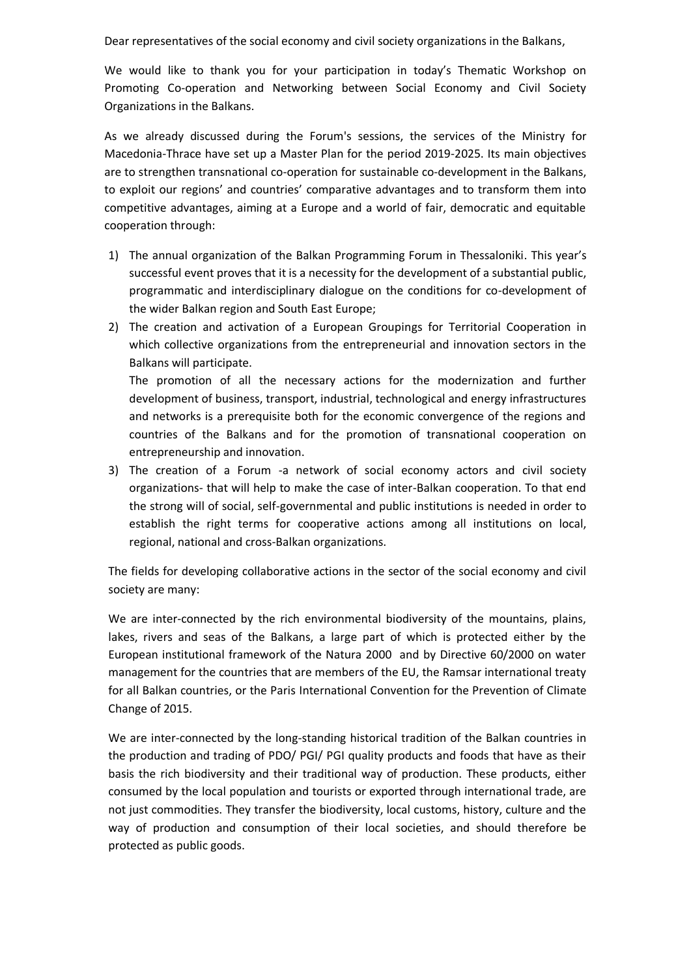Dear representatives of the social economy and civil society organizations in the Balkans,

We would like to thank you for your participation in today's Thematic Workshop on Promoting Co-operation and Networking between Social Economy and Civil Society Organizations in the Balkans.

As we already discussed during the Forum's sessions, the services of the Ministry for Macedonia-Thrace have set up a Master Plan for the period 2019-2025. Its main objectives are to strengthen transnational co-operation for sustainable co-development in the Balkans, to exploit our regions' and countries' comparative advantages and to transform them into competitive advantages, aiming at a Europe and a world of fair, democratic and equitable cooperation through:

- 1) The annual organization of the Balkan Programming Forum in Thessaloniki. This year's successful event proves that it is a necessity for the development of a substantial public, programmatic and interdisciplinary dialogue on the conditions for co-development of the wider Balkan region and South East Europe;
- 2) The creation and activation of a European Groupings for Territorial Cooperation in which collective organizations from the entrepreneurial and innovation sectors in the Balkans will participate. The promotion of all the necessary actions for the modernization and further development of business, transport, industrial, technological and energy infrastructures and networks is a prerequisite both for the economic convergence of the regions and

countries of the Balkans and for the promotion of transnational cooperation on

3) The creation of a Forum -a network of social economy actors and civil society organizations- that will help to make the case of inter-Balkan cooperation. To that end the strong will of social, self-governmental and public institutions is needed in order to establish the right terms for cooperative actions among all institutions on local, regional, national and cross-Balkan organizations.

entrepreneurship and innovation.

The fields for developing collaborative actions in the sector of the social economy and civil society are many:

We are inter-connected by the rich environmental biodiversity of the mountains, plains, lakes, rivers and seas of the Balkans, a large part of which is protected either by the European institutional framework of the Natura 2000 and by Directive 60/2000 on water management for the countries that are members of the EU, the Ramsar international treaty for all Balkan countries, or the Paris International Convention for the Prevention of Climate Change of 2015.

We are inter-connected by the long-standing historical tradition of the Balkan countries in the production and trading of PDO/ PGI/ PGI quality products and foods that have as their basis the rich biodiversity and their traditional way of production. These products, either consumed by the local population and tourists or exported through international trade, are not just commodities. They transfer the biodiversity, local customs, history, culture and the way of production and consumption of their local societies, and should therefore be protected as public goods.